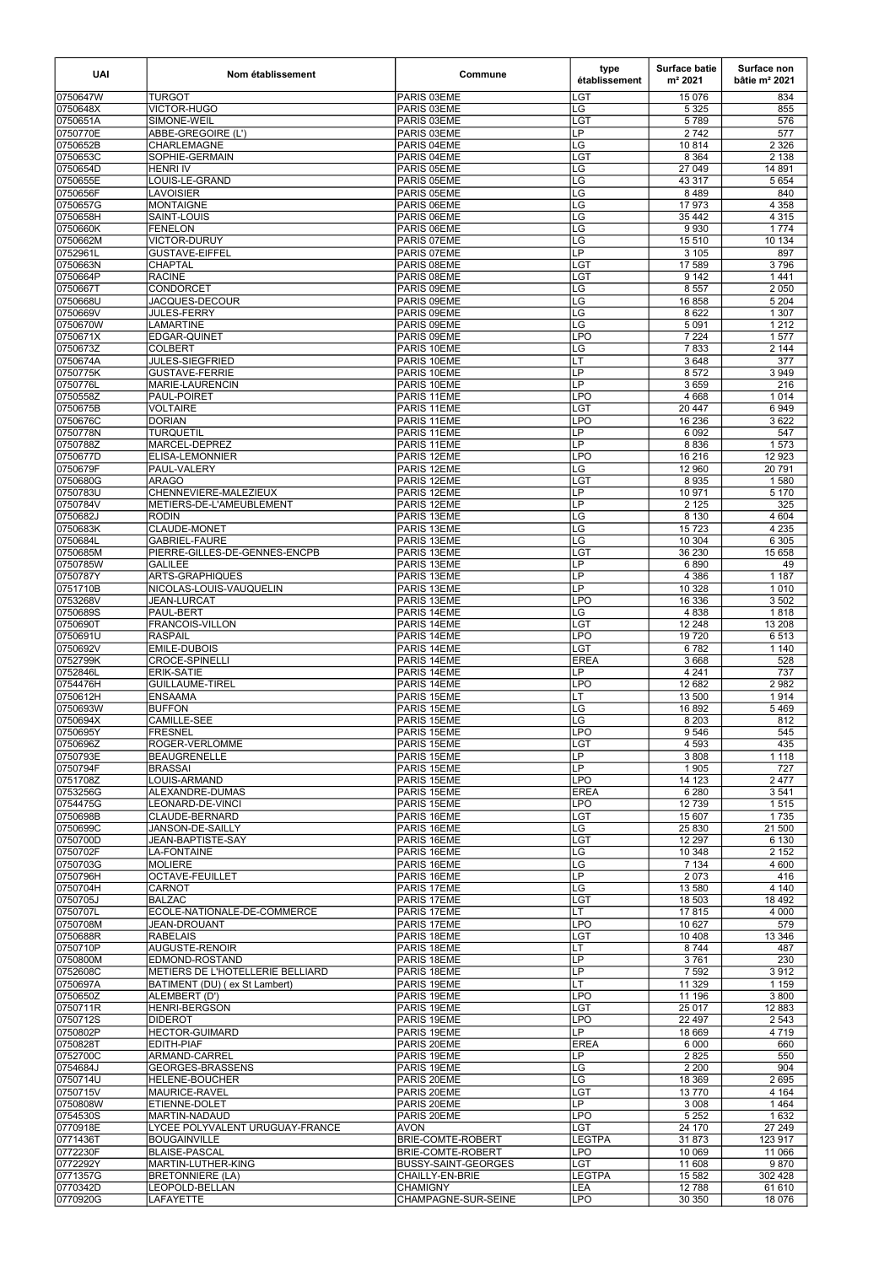| <b>UAI</b>           | Nom établissement                           | Commune                                         | type<br>établissement          | <b>Surface batie</b><br>m <sup>2</sup> 2021 | Surface non<br>bâtie $m2 2021$ |
|----------------------|---------------------------------------------|-------------------------------------------------|--------------------------------|---------------------------------------------|--------------------------------|
| 0750647W             | <b>TURGOT</b>                               | PARIS 03EME                                     | LGT                            | 15 0 76                                     | 834                            |
| 0750648X             | VICTOR-HUGO                                 | PARIS 03EME                                     | LG                             | 5 3 2 5                                     | 855                            |
| 0750651A<br>0750770E | SIMONE-WEIL<br>ABBE-GREGOIRE (L')           | PARIS 03EME<br>PARIS 03EME                      | <b>LGT</b><br>LP               | 5789<br>2742                                | 576<br>577                     |
| 0750652B             | <b>CHARLEMAGNE</b>                          | PARIS 04EME                                     | LG                             | 10814                                       | 2 3 2 6                        |
| 0750653C             | SOPHIE-GERMAIN                              | PARIS 04EME                                     | <b>LGT</b>                     | 8 3 6 4                                     | 2 1 3 8                        |
| 0750654D             | <b>HENRI IV</b>                             | PARIS 05EME                                     | LG                             | 27 049                                      | 14 891                         |
| 0750655E<br>0750656F | LOUIS-LE-GRAND<br><b>LAVOISIER</b>          | PARIS 05EME<br>PARIS 05EME                      | LG<br>LG                       | 43 317<br>8489                              | 5 6 5 4<br>840                 |
| 0750657G             | MONTAIGNE                                   | PARIS 06EME                                     | LG                             | 17 973                                      | 4 3 5 8                        |
| 0750658H             | SAINT-LOUIS                                 | PARIS 06EME                                     | LG                             | 35 4 42                                     | 4 3 1 5                        |
| 0750660K             | FENELON                                     | PARIS 06EME                                     | LG                             | 9930                                        | 1774                           |
| 0750662M<br>0752961L | VICTOR-DURUY<br><b>GUSTAVE-EIFFEL</b>       | PARIS 07EME<br>PARIS 07EME                      | LG<br>$\overline{\mathsf{LP}}$ | 15 510<br>3 1 0 5                           | 10 134<br>897                  |
| 0750663N             | <b>CHAPTAL</b>                              | PARIS 08EME                                     | <b>LGT</b>                     | 17 589                                      | 3796                           |
| 0750664P             | <b>RACINE</b>                               | PARIS 08EME                                     | LGT                            | 9142                                        | 1441                           |
| 0750667T             | <b>CONDORCET</b>                            | PARIS 09EME                                     | LG                             | 8 5 5 7                                     | 2 0 5 0                        |
| 0750668U             | JACQUES-DECOUR                              | PARIS 09EME                                     | LG                             | 16858                                       | 5 2 0 4                        |
| 0750669V<br>0750670W | <b>JULES-FERRY</b><br><b>LAMARTINE</b>      | PARIS 09EME<br>PARIS 09EME                      | LG<br>LG                       | 8 6 22<br>5 0 9 1                           | 1 3 0 7<br>1212                |
| 0750671X             | <b>EDGAR-QUINET</b>                         | PARIS 09EME                                     | <b>LPO</b>                     | 7224                                        | 1577                           |
| 0750673Z             | <b>COLBERT</b>                              | PARIS 10EME                                     | LG                             | 7833                                        | 2 144                          |
| 0750674A             | <b>JULES-SIEGFRIED</b>                      | PARIS 10EME                                     | LT                             | 3648                                        | 377                            |
| 0750775K             | <b>GUSTAVE-FERRIE</b>                       | PARIS 10EME                                     | <b>LP</b><br>LP                | 8572<br>3659                                | 3 9 4 9<br>216                 |
| 0750776L<br>0750558Z | MARIE-LAURENCIN<br><b>PAUL-POIRET</b>       | PARIS 10EME<br>PARIS 11EME                      | <b>LPO</b>                     | 4 6 6 8                                     | 1 0 1 4                        |
| 0750675B             | <b>VOLTAIRE</b>                             | PARIS 11EME                                     | LGT                            | 20 447                                      | 6949                           |
| 0750676C             | DORIAN                                      | PARIS 11EME                                     | <b>LPO</b>                     | 16 236                                      | 3 6 2 2                        |
| 0750778N             | <b>TURQUETIL</b>                            | PARIS 11EME                                     | LP                             | 6 0 9 2                                     | 547                            |
| 0750788Z<br>0750677D | MARCEL-DEPREZ                               | PARIS 11EME<br>PARIS 12EME                      | LP<br><b>LPO</b>               | 8836<br>16 216                              | 1573<br>12 9 23                |
| 0750679F             | ELISA-LEMONNIER<br> PAUL-VALERY             | PARIS 12EME                                     | LG                             | 12 960                                      | 20 791                         |
| 0750680G             | <b>ARAGO</b>                                | PARIS 12EME                                     | <b>LGT</b>                     | 8935                                        | 1580                           |
| 0750783U             | CHENNEVIERE-MALEZIEUX                       | PARIS 12EME                                     | LP                             | 10 971                                      | 5 1 7 0                        |
| 0750784V             | METIERS-DE-L'AMEUBLEMENT                    | PARIS 12EME                                     | LP                             | 2 1 2 5                                     | 325                            |
| 0750682J             | <b>RODIN</b>                                | PARIS 13EME                                     | LG                             | 8 1 3 0                                     | 4 604                          |
| 0750683K<br>0750684L | CLAUDE-MONET<br> GABRIEL-FAURE              | PARIS 13EME<br><b>PARIS 13EME</b>               | LG<br>LG                       | 15723<br>10 304                             | 4 2 3 5<br>6 3 0 5             |
| 0750685M             | PIERRE-GILLES-DE-GENNES-ENCPB               | PARIS 13EME                                     | <b>LGT</b>                     | 36 230                                      | 15 658                         |
| 0750785W             | <b>GALILEE</b>                              | PARIS 13EME                                     | LP.                            | 6890                                        | 49                             |
| 0750787Y             | <b>ARTS-GRAPHIQUES</b>                      | PARIS 13EME                                     | LP                             | 4 3 8 6                                     | 1 1 8 7                        |
| 0751710B             | NICOLAS-LOUIS-VAUQUELIN                     | PARIS 13EME                                     | LP                             | 10 3 28                                     | 1 0 1 0                        |
| 0753268V<br>0750689S | <b>JEAN-LURCAT</b><br><b>PAUL-BERT</b>      | PARIS 13EME<br>PARIS 14EME                      | <b>LPO</b><br>LG               | 16 336<br>4 8 3 8                           | 3 5 0 2<br>1818                |
| 0750690T             | <b>FRANCOIS-VILLON</b>                      | PARIS 14EME                                     | <b>LGT</b>                     | 12 248                                      | 13 208                         |
| 0750691U             | RASPAIL                                     | PARIS 14EME                                     | <b>LPO</b>                     | 19720                                       | 6513                           |
| 0750692V             | <b>EMILE-DUBOIS</b>                         | PARIS 14EME                                     | <b>LGT</b>                     | 6782                                        | 1 140                          |
| 0752799K             | <b>CROCE-SPINELLI</b>                       | PARIS 14EME                                     | <b>EREA</b><br>LP.             | 3668                                        | 528                            |
| 0752846L<br>0754476H | <b>ERIK-SATIE</b><br><b>GUILLAUME-TIREL</b> | PARIS 14EME<br>PARIS 14EME                      | <b>LPO</b>                     | 4 2 4 1<br>12 682                           | 737<br>2982                    |
| 0750612H             | ENSAAMA                                     | PARIS 15EME                                     | LT                             | 13 500                                      | 1914                           |
| 0750693W             | <b>BUFFON</b>                               | PARIS 15EME                                     | LG                             | 16892                                       | 5469                           |
| 0750694X             | CAMILLE-SEE                                 | PARIS 15EME                                     | LG                             | 8 2 0 3                                     | 812                            |
| 0750695Y<br>0750696Z | IFRESNEL<br><b>ROGER-VERLOMME</b>           | PARIS 15EME<br>PARIS 15EME                      | <b>LPO</b><br><b>LGT</b>       | 9 5 4 6<br>4 5 9 3                          | 545<br>435                     |
| 0750793E             | <b>BEAUGRENELLE</b>                         | PARIS 15EME                                     | LP                             | 3808                                        | 1 1 1 8                        |
| 0750794F             | <b>BRASSAI</b>                              | PARIS 15EME                                     | <b>LP</b>                      | 1905                                        | 727                            |
| 0751708Z             | LOUIS-ARMAND                                | PARIS 15EME                                     | <b>LPO</b>                     | 14 123                                      | 2477                           |
| 0753256G             | ALEXANDRE-DUMAS                             | PARIS 15EME                                     | <b>EREA</b>                    | 6 2 8 0                                     | 3541                           |
| 0754475G<br>0750698B | LEONARD-DE-VINCI<br>CLAUDE-BERNARD          | PARIS 15EME<br>PARIS 16EME                      | <b>LPO</b><br><b>LGT</b>       | 12739<br>15 607                             | 1515<br>1735                   |
| 0750699C             | JANSON-DE-SAILLY                            | PARIS 16EME                                     | LG                             | 25 830                                      | 21 500                         |
| 0750700D             | JEAN-BAPTISTE-SAY                           | PARIS 16EME                                     | LGT                            | 12 297                                      | 6 1 3 0                        |
| 0750702F             | <b>LA-FONTAINE</b>                          | PARIS 16EME                                     | LG                             | 10 348                                      | 2 1 5 2                        |
| 0750703G<br>0750796H | <b>MOLIERE</b><br><b>OCTAVE-FEUILLET</b>    | PARIS 16EME<br>PARIS 16EME                      | LG<br>LP                       | 7 1 3 4<br>2 0 7 3                          | 4 600<br>416                   |
| 0750704H             | <b>CARNOT</b>                               | PARIS 17EME                                     | $\overline{\text{LG}}$         | 13 580                                      | 4 140                          |
| 0750705J             | <b>BALZAC</b>                               | PARIS 17EME                                     | <b>LGT</b>                     | 18 503                                      | 18 492                         |
| 0750707L             | ECOLE-NATIONALE-DE-COMMERCE                 | PARIS 17EME                                     | LT                             | 17815                                       | 4 0 0 0                        |
| 0750708M             | <b>JEAN-DROUANT</b>                         | PARIS 17EME                                     | <b>LPO</b>                     | 10 627                                      | 579                            |
| 0750688R<br>0750710P | <b>RABELAIS</b><br>AUGUSTE-RENOIR           | PARIS 18EME<br>PARIS 18EME                      | LGT<br>LT                      | 10 408<br>8744                              | 13 346<br>487                  |
| 0750800M             | EDMOND-ROSTAND                              | PARIS 18EME                                     | LP                             | 3761                                        | 230                            |
| 0752608C             | METIERS DE L'HOTELLERIE BELLIARD            | PARIS 18EME                                     | <b>LP</b>                      | 7 5 9 2                                     | 3912                           |
| 0750697A             | BATIMENT (DU) (ex St Lambert)               | PARIS 19EME                                     | LT                             | 11 329                                      | 1 1 5 9                        |
| 0750650Z             | ALEMBERT (D')                               | PARIS 19EME                                     | <b>LPO</b>                     | 11 196                                      | 3800                           |
| 0750711R<br>0750712S | <b>HENRI-BERGSON</b><br>IDIDEROT            | PARIS 19EME<br>PARIS 19EME                      | <b>LGT</b><br><b>LPO</b>       | 25 017<br>22 497                            | 12 8 83<br>2 5 4 3             |
| 0750802P             | <b>HECTOR-GUIMARD</b>                       | PARIS 19EME                                     | <b>LP</b>                      | 18 669                                      | 4 7 1 9                        |
| 0750828T             | IEDITH-PIAF                                 | PARIS 20EME                                     | <b>EREA</b>                    | 6 0 0 0                                     | 660                            |
| 0752700C             | ARMAND-CARREL                               | PARIS 19EME                                     | LP                             | 2825                                        | 550                            |
| 0754684J             | GEORGES-BRASSENS                            | PARIS 19EME                                     | LG                             | 2 2 0 0                                     | 904                            |
| 0750714U             | <b>HELENE-BOUCHER</b>                       | PARIS 20EME                                     | LG<br><b>LGT</b>               | 18 3 69                                     | 2695                           |
| 0750715V<br>0750808W | MAURICE-RAVEL<br>ETIENNE-DOLET              | PARIS 20EME<br>PARIS 20EME                      | LP                             | 13770<br>3 0 0 8                            | 4 1 6 4<br>1 4 6 4             |
| 0754530S             | MARTIN-NADAUD                               | PARIS 20EME                                     | <b>LPO</b>                     | 5 2 5 2                                     | 1 6 3 2                        |
| 0770918E             | LYCEE POLYVALENT URUGUAY-FRANCE             | <b>AVON</b>                                     | <b>LGT</b>                     | 24 170                                      | 27 249                         |
| 0771436T             | BOUGAINVILLE                                | BRIE-COMTE-ROBERT                               | <b>LEGTPA</b>                  | 31873                                       | 123 917                        |
| 0772230F             | <b>BLAISE-PASCAL</b><br>MARTIN-LUTHER-KING  | BRIE-COMTE-ROBERT<br><b>BUSSY-SAINT-GEORGES</b> | <b>LPO</b><br>LGT              | 10 069                                      | 11 066                         |
| 0772292Y<br>0771357G | <b>BRETONNIERE (LA)</b>                     | CHAILLY-EN-BRIE                                 | <b>LEGTPA</b>                  | 11 608<br>15 5 82                           | 9870<br>302 428                |
| 0770342D             | LEOPOLD-BELLAN                              | <b>CHAMIGNY</b>                                 | <b>LEA</b>                     | 12788                                       | 61 610                         |
| 0770920G             | LAFAYETTE                                   | CHAMPAGNE-SUR-SEINE                             | <b>LPO</b>                     | 30 350                                      | 18 076                         |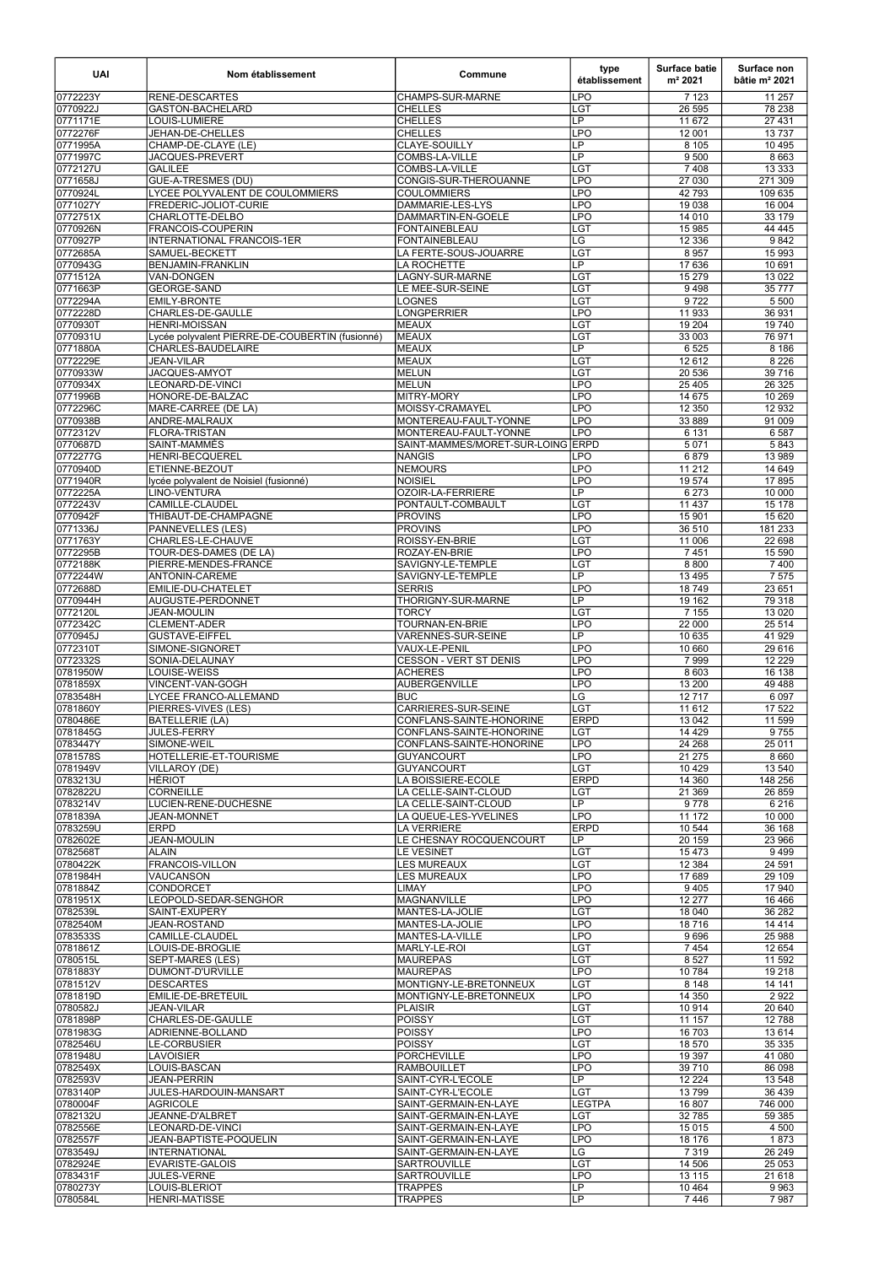| <b>UAI</b>           | Nom établissement                               | Commune                                      | type<br>établissement          | <b>Surface batie</b><br>m <sup>2</sup> 2021 | Surface non<br>bâtie $m2 2021$ |
|----------------------|-------------------------------------------------|----------------------------------------------|--------------------------------|---------------------------------------------|--------------------------------|
| 0772223Y             | <b>RENE-DESCARTES</b>                           | <b>CHAMPS-SUR-MARNE</b>                      | <b>LPO</b>                     | 7 1 2 3                                     | 11 257                         |
| 0770922J             | <b>GASTON-BACHELARD</b>                         | <b>CHELLES</b>                               | LGT                            | 26 595                                      | 78 238                         |
| 0771171E             | LOUIS-LUMIERE                                   | <b>CHELLES</b>                               | $\overline{\mathsf{LP}}$       | 11 672                                      | 27 431                         |
| 0772276F             | JEHAN-DE-CHELLES                                | <b>CHELLES</b>                               | <b>LPO</b>                     | 12 001                                      | 13737                          |
| 0771995A             | CHAMP-DE-CLAYE (LE)                             | <b>CLAYE-SOUILLY</b>                         | $\overline{\mathsf{LP}}$<br>LP | 8 1 0 5                                     | 10 4 95                        |
| 0771997C<br>0772127U | JACQUES-PREVERT<br><b>GALILEE</b>               | COMBS-LA-VILLE<br><b>COMBS-LA-VILLE</b>      | <b>LGT</b>                     | 9 500<br>7 4 0 8                            | 8 6 6 3<br>13 3 3 3            |
| 0771658J             | <b>GUE-A-TRESMES (DU)</b>                       | CONGIS-SUR-THEROUANNE                        | <b>LPO</b>                     | 27 030                                      | 271 309                        |
| 0770924L             | LYCEE POLYVALENT DE COULOMMIERS                 | <b>COULOMMIERS</b>                           | LPO                            | 42 793                                      | 109 635                        |
| 0771027Y             | FREDERIC-JOLIOT-CURIE                           | DAMMARIE-LES-LYS                             | <b>LPO</b>                     | 19 0 38                                     | 16 004                         |
| 0772751X             | CHARLOTTE-DELBO                                 | DAMMARTIN-EN-GOELE                           | <b>LPO</b>                     | 14 010                                      | 33 179                         |
| 0770926N             | <b>FRANCOIS-COUPERIN</b>                        | FONTAINEBLEAU                                | LGT                            | 15 985                                      | 44 4 45                        |
| 0770927P             | <b>INTERNATIONAL FRANCOIS-1ER</b>               | <b>FONTAINEBLEAU</b>                         | LG                             | 12 3 36                                     | 9842                           |
| 0772685A             | SAMUEL-BECKETT                                  | LA FERTE-SOUS-JOUARRE                        | LG <sub>T</sub>                | 8 9 5 7                                     | 15 993                         |
| 0770943G             | <b>BENJAMIN-FRANKLIN</b>                        | LA ROCHETTE                                  | $\overline{\mathsf{LP}}$       | 17 636                                      | 10 691                         |
| 0771512A             | VAN-DONGEN                                      | LAGNY-SUR-MARNE<br>LE MEE-SUR-SEINE          | <b>LGT</b><br><b>LGT</b>       | 15 279                                      | 13 0 22                        |
| 0771663P<br>0772294A | <b>GEORGE-SAND</b><br><b>EMILY-BRONTE</b>       | <b>LOGNES</b>                                | <b>LGT</b>                     | 9498<br>9722                                | 35 777<br>5 5 0 0              |
| 0772228D             | CHARLES-DE-GAULLE                               | <b>LONGPERRIER</b>                           | <b>LPO</b>                     | 11 933                                      | 36 931                         |
| 0770930T             | <b>HENRI-MOISSAN</b>                            | MEAUX                                        | <b>LGT</b>                     | 19 204                                      | 19 740                         |
| 0770931U             | Lycée polyvalent PIERRE-DE-COUBERTIN (fusionné) | MEAUX                                        | LGT                            | 33 003                                      | 76 971                         |
| 0771880A             | <b>CHARLES-BAUDELAIRE</b>                       | MEAUX                                        | LP                             | 6 5 25                                      | 8 1 8 6                        |
| 0772229E             | <b>JEAN-VILAR</b>                               | <b>MEAUX</b>                                 | LGT                            | 12612                                       | 8 2 2 6                        |
| 0770933W             | JACQUES-AMYOT                                   | <b>MELUN</b>                                 | LGT                            | 20 536                                      | 39 716                         |
| 0770934X             | LEONARD-DE-VINCI                                | MELUN                                        | <b>LPO</b>                     | 25 4 05                                     | 26 3 25                        |
| 0771996B             | HONORE-DE-BALZAC                                | MITRY-MORY                                   | <b>LPO</b>                     | 14 6 75                                     | 10 269                         |
| 0772296C<br>0770938B | MARE-CARREE (DE LA)<br><b>ANDRE-MALRAUX</b>     | MOISSY-CRAMAYEL<br>MONTEREAU-FAULT-YONNE     | <b>LPO</b><br><b>LPO</b>       | 12 350<br>33 889                            | 12 9 32<br>91 009              |
| 0772312V             | <b>FLORA-TRISTAN</b>                            | MONTEREAU-FAULT-YONNE                        | <b>LPO</b>                     | 6 1 3 1                                     | 6587                           |
| 0770687D             | SAINT-MAMMÈS                                    | SAINT-MAMMES/MORET-SUR-LOING ERPD            |                                | 5 0 7 1                                     | 5843                           |
| 0772277G             | HENRI-BECQUEREL                                 | NANGIS                                       | LPO                            | 6879                                        | 13 989                         |
| 0770940D             | ETIENNE-BEZOUT                                  | <b>NEMOURS</b>                               | <b>LPO</b>                     | 11 212                                      | 14 649                         |
| 0771940R             | lycée polyvalent de Noisiel (fusionné)          | NOISIEL                                      | <b>LPO</b>                     | 19574                                       | 17895                          |
| 0772225A             | LINO-VENTURA                                    | <b>OZOIR-LA-FERRIERE</b>                     | $\overline{\mathsf{LP}}$       | 6 2 7 3                                     | 10 000                         |
| 0772243V             | CAMILLE-CLAUDEL                                 | PONTAULT-COMBAULT                            | LGT                            | 11 4 3 7                                    | 15 178                         |
| 0770942F             | THIBAUT-DE-CHAMPAGNE                            | <b>PROVINS</b>                               | <b>LPO</b>                     | 15 901                                      | 15 6 20                        |
| 0771336J             | <b>PANNEVELLES (LES)</b>                        | <b>PROVINS</b>                               | <b>LPO</b>                     | 36 510                                      | 181 233                        |
| 0771763Y             | CHARLES-LE-CHAUVE                               | ROISSY-EN-BRIE                               | LGT<br><b>LPO</b>              | 11 006                                      | 22 698                         |
| 0772295B<br>0772188K | TOUR-DES-DAMES (DE LA)<br>PIERRE-MENDES-FRANCE  | ROZAY-EN-BRIE<br>SAVIGNY-LE-TEMPLE           | LGT                            | 7451<br>8 8 0 0                             | 15 590<br>7 4 0 0              |
| 0772244W             | ANTONIN-CAREME                                  | SAVIGNY-LE-TEMPLE                            | LP                             | 13 4 95                                     | 7 5 7 5                        |
| 0772688D             | EMILIE-DU-CHATELET                              | <b>SERRIS</b>                                | <b>LPO</b>                     | 18749                                       | 23 651                         |
| 0770944H             | AUGUSTE-PERDONNET                               | THORIGNY-SUR-MARNE                           | LP                             | 19 162                                      | 79 318                         |
| 0772120L             | <b>JEAN-MOULIN</b>                              | <b>TORCY</b>                                 | LGT                            | 7 1 5 5                                     | 13 0 20                        |
| 0772342C             | <b>CLEMENT-ADER</b>                             | <b>TOURNAN-EN-BRIE</b>                       | <b>LPO</b>                     | 22 000                                      | 25 5 14                        |
| 0770945J             | <b>GUSTAVE-EIFFEL</b>                           | VARENNES-SUR-SEINE                           | $\overline{LP}$                | 10 635                                      | 41 929                         |
| 0772310T             | SIMONE-SIGNORET                                 | VAUX-LE-PENIL                                | <b>LPO</b>                     | 10 660                                      | 29 616                         |
| 0772332S             | SONIA-DELAUNAY<br>LOUISE-WEISS                  | <b>CESSON - VERT ST DENIS</b>                | LPO<br><b>LPO</b>              | 7999<br>8 6 0 3                             | 12 2 2 9<br>16 138             |
| 0781950W<br>0781859X | VINCENT-VAN-GOGH                                | <b>ACHERES</b><br><b>AUBERGENVILLE</b>       | <b>LPO</b>                     | 13 200                                      | 49 4 88                        |
| 0783548H             | LYCEE FRANCO-ALLEMAND                           | BUC                                          | $\overline{\text{LG}}$         | 12717                                       | 6 0 9 7                        |
| 0781860Y             | PIERRES-VIVES (LES)                             | CARRIERES-SUR-SEINE                          | LGT                            | 11 612                                      | 17 522                         |
| 0780486E             | <b>BATELLERIE (LA)</b>                          | CONFLANS-SAINTE-HONORINE                     | <b>ERPD</b>                    | 13 042                                      | 11 599                         |
| 0781845G             | <b>JULES-FERRY</b>                              | CONFLANS-SAINTE-HONORINE                     | <b>LGT</b>                     | 14 4 29                                     | 9755                           |
| 0783447Y             | SIMONE-WEIL                                     | CONFLANS-SAINTE-HONORINE                     | <b>LPO</b>                     | 24 268                                      | 25 011                         |
| 0781578S             | HOTELLERIE-ET-TOURISME                          | <b>GUYANCOURT</b>                            | <b>LPO</b>                     | 21 275                                      | 8 6 6 0                        |
| 0781949V             | VILLAROY (DE)                                   | <b>GUYANCOURT</b>                            | <b>LGT</b>                     | 10 4 29                                     | 13 540                         |
| 0783213U             | <b>HÉRIOT</b>                                   | LA BOISSIERE-ECOLE                           | <b>ERPD</b>                    | 14 360                                      | 148 256                        |
| 0782822U<br>0783214V | <b>CORNEILLE</b><br>LUCIEN-RENE-DUCHESNE        | LA CELLE-SAINT-CLOUD<br>LA CELLE-SAINT-CLOUD | LGT<br>$\overline{LP}$         | 21 3 69<br>9778                             | 26 859<br>6 2 1 6              |
| 0781839A             | <b>JEAN-MONNET</b>                              | LA QUEUE-LES-YVELINES                        | <b>LPO</b>                     | 11 172                                      | 10 000                         |
| 0783259U             | <b>ERPD</b>                                     | <b>LA VERRIERE</b>                           | <b>ERPD</b>                    | 10 544                                      | 36 168                         |
| 0782602E             | <b>JEAN-MOULIN</b>                              | LE CHESNAY ROCQUENCOURT                      | LP                             | 20 159                                      | 23 966                         |
| 0782568T             | <b>ALAIN</b>                                    | LE VESINET                                   | LGT                            | 15473                                       | 9499                           |
| 0780422K             | FRANCOIS-VILLON                                 | LES MUREAUX                                  | LGT                            | 12 3 84                                     | 24 591                         |
| 0781984H             | VAUCANSON                                       | <b>LES MUREAUX</b>                           | <b>LPO</b>                     | 17689                                       | 29 109                         |
| 0781884Z             | <b>CONDORCET</b>                                | LIMAY                                        | <b>LPO</b>                     | 9405                                        | 17 940                         |
| 0781951X<br>0782539L | LEOPOLD-SEDAR-SENGHOR<br>SAINT-EXUPERY          | <b>MAGNANVILLE</b><br>MANTES-LA-JOLIE        | <b>LPO</b><br>LGT              | 12 277<br>18 040                            | 16 4 66<br>36 282              |
| 0782540M             | <b>JEAN-ROSTAND</b>                             | MANTES-LA-JOLIE                              | <b>LPO</b>                     | 18716                                       | 14 4 14                        |
| 0783533S             | CAMILLE-CLAUDEL                                 | MANTES-LA-VILLE                              | <b>LPO</b>                     | 9696                                        | 25 988                         |
| 0781861Z             | LOUIS-DE-BROGLIE                                | <b>MARLY-LE-ROI</b>                          | LGT                            | 7454                                        | 12 654                         |
| 0780515L             | SEPT-MARES (LES)                                | <b>MAUREPAS</b>                              | LGT                            | 8 5 27                                      | 11 592                         |
| 0781883Y             | DUMONT-D'URVILLE                                | MAUREPAS                                     | <b>LPO</b>                     | 10784                                       | 19 218                         |
| 0781512V             | <b>DESCARTES</b>                                | MONTIGNY-LE-BRETONNEUX                       | LGT                            | 8 1 4 8                                     | 14 14 1                        |
| 0781819D             | EMILIE-DE-BRETEUIL                              | MONTIGNY-LE-BRETONNEUX                       | <b>LPO</b>                     | 14 350                                      | 2922                           |
| 0780582J             | JEAN-VILAR                                      | PLAISIR                                      | LGT                            | 10 914                                      | 20 640                         |
| 0781898P             | CHARLES-DE-GAULLE                               | <b>POISSY</b>                                | <b>LGT</b>                     | 11 157                                      | 12 788<br>13 6 14              |
| 0781983G<br>0782546U | ADRIENNE-BOLLAND<br><b>LE-CORBUSIER</b>         | <b>POISSY</b><br><b>POISSY</b>               | <b>LPO</b><br>LGT              | 16 703<br>18 570                            | 35 335                         |
| 0781948U             | LAVOISIER                                       | <b>PORCHEVILLE</b>                           | <b>LPO</b>                     | 19 3 97                                     | 41 080                         |
| 0782549X             | LOUIS-BASCAN                                    | <b>RAMBOUILLET</b>                           | <b>LPO</b>                     | 39710                                       | 86 098                         |
| 0782593V             | <b>JEAN-PERRIN</b>                              | SAINT-CYR-L'ECOLE                            | LP                             | 12 2 2 4                                    | 13 548                         |
| 0783140P             | JULES-HARDOUIN-MANSART                          | SAINT-CYR-L'ECOLE                            | LGT                            | 13799                                       | 36 439                         |
| 0780004F             | <b>AGRICOLE</b>                                 | SAINT-GERMAIN-EN-LAYE                        | <b>LEGTPA</b>                  | 16 807                                      | 746 000                        |
| 0782132U             | JEANNE-D'ALBRET                                 | SAINT-GERMAIN-EN-LAYE                        | LGT                            | 32 785                                      | 59 385                         |
| 0782556E             | LEONARD-DE-VINCI                                | SAINT-GERMAIN-EN-LAYE                        | <b>LPO</b>                     | 15 0 15                                     | 4 500                          |
| 0782557F             | JEAN-BAPTISTE-POQUELIN                          | SAINT-GERMAIN-EN-LAYE                        | <b>LPO</b>                     | 18 176                                      | 1873                           |
| 0783549J<br>0782924E | <b>INTERNATIONAL</b><br><b>EVARISTE-GALOIS</b>  | SAINT-GERMAIN-EN-LAYE<br><b>SARTROUVILLE</b> | LG<br><b>LGT</b>               | 7 3 1 9<br>14 506                           | 26 249<br>25 0 53              |
| 0783431F             | <b>JULES-VERNE</b>                              | <b>SARTROUVILLE</b>                          | <b>LPO</b>                     | 13 115                                      | 21 618                         |
| 0780273Y             | LOUIS-BLERIOT                                   | <b>TRAPPES</b>                               | LP                             | 10 4 64                                     | 9 9 6 3                        |
| 0780584L             | <b>HENRI-MATISSE</b>                            | <b>TRAPPES</b>                               | LP                             | 7446                                        | 7987                           |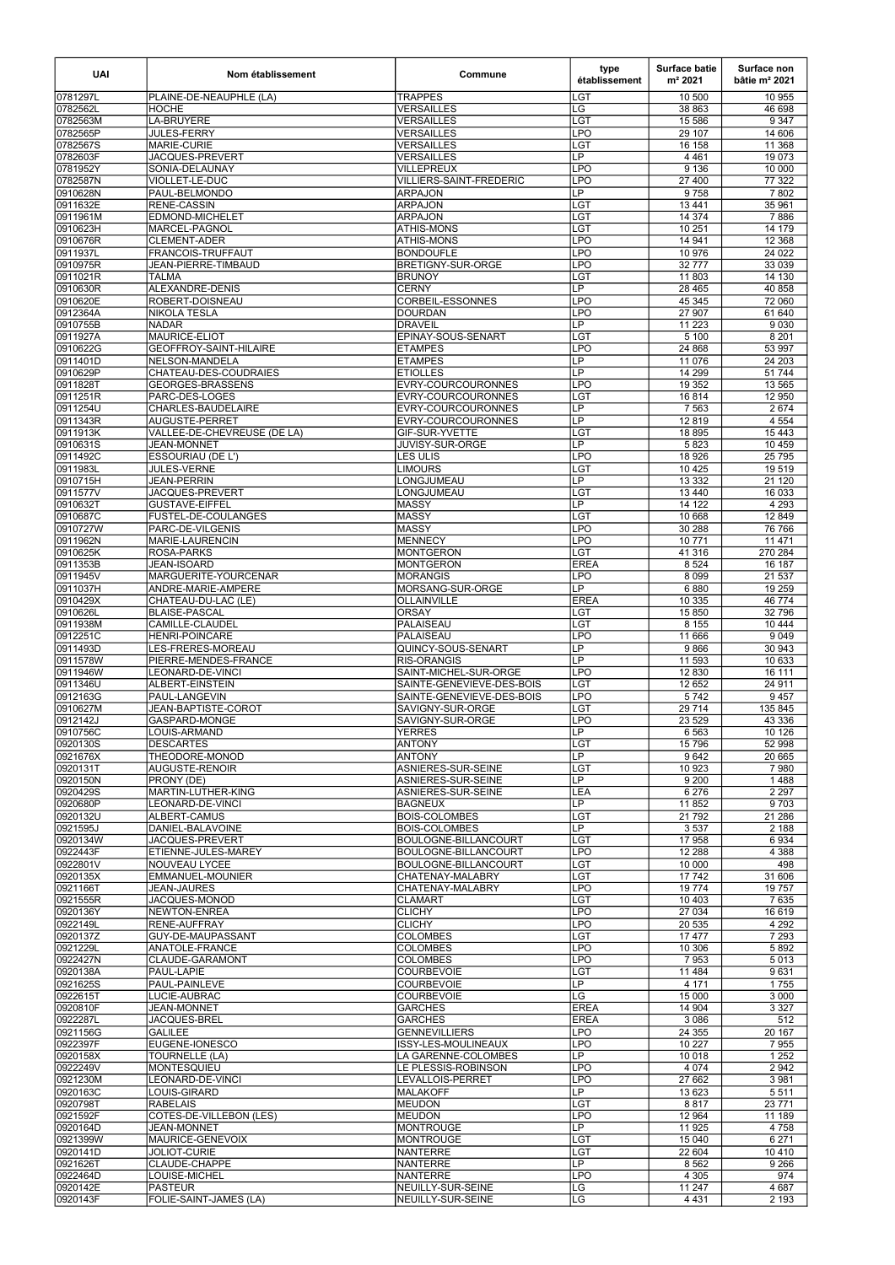| <b>UAI</b>           | Nom établissement                        | Commune                                      | type<br>établissement                  | <b>Surface batie</b><br>m <sup>2</sup> 2021 | Surface non<br>bâtie $m2 2021$ |
|----------------------|------------------------------------------|----------------------------------------------|----------------------------------------|---------------------------------------------|--------------------------------|
| 0781297L             | PLAINE-DE-NEAUPHLE (LA)                  | <b>TRAPPES</b>                               | LGT                                    | 10 500                                      | 10 955                         |
| 0782562L             | <b>HOCHE</b>                             | <b>VERSAILLES</b>                            | LG                                     | 38 863                                      | 46 698                         |
| 0782563M             | <b>LA-BRUYERE</b>                        | <b>VERSAILLES</b>                            | <b>LGT</b>                             | 15 5 86                                     | 9 3 4 7                        |
| 0782565P             | <b>JULES-FERRY</b>                       | <b>VERSAILLES</b>                            | LPO                                    | 29 10 7                                     | 14 606                         |
| 0782567S<br>0782603F | MARIE-CURIE<br>JACQUES-PREVERT           | VERSAILLES<br>VERSAILLES                     | LGT<br>$\overline{\mathsf{LP}}$        | 16 158<br>4 4 6 1                           | 11 368<br>19 073               |
| 0781952Y             | SONIA-DELAUNAY                           | VILLEPREUX                                   | <b>LPO</b>                             | 9 1 3 6                                     | 10 000                         |
| 0782587N             | VIOLLET-LE-DUC                           | VILLIERS-SAINT-FREDERIC                      | LPO                                    | 27 400                                      | 77 322                         |
| 0910628N             | PAUL-BELMONDO                            | ARPAJON                                      | LP                                     | 9758                                        | 7802                           |
| 0911632E             | <b>RENE-CASSIN</b>                       | ARPAJON                                      | LGT                                    | 13 4 41                                     | 35 961                         |
| 0911961M             | EDMOND-MICHELET                          | ARPAJON                                      | LGT                                    | 14 3 74                                     | 7886                           |
| 0910623H             | MARCEL-PAGNOL                            | ATHIS-MONS                                   | LGT                                    | 10 251                                      | 14 179                         |
| 0910676R             | <b>CLEMENT-ADER</b><br>FRANCOIS-TRUFFAUT | <b>ATHIS-MONS</b>                            | <b>LPO</b><br>LPO                      | 14 941<br>10 976                            | 12 3 68                        |
| 0911937L<br>0910975R | JEAN-PIERRE-TIMBAUD                      | <b>BONDOUFLE</b><br><b>BRETIGNY-SUR-ORGE</b> | <b>LPO</b>                             | 32777                                       | 24 0 22<br>33 0 39             |
| 0911021R             | <b>TALMA</b>                             | <b>BRUNOY</b>                                | LGT                                    | 11 803                                      | 14 130                         |
| 0910630R             | ALEXANDRE-DENIS                          | <b>CERNY</b>                                 | LP                                     | 28 4 65                                     | 40 858                         |
| 0910620E             | ROBERT-DOISNEAU                          | <b>CORBEIL-ESSONNES</b>                      | LPO                                    | 45 345                                      | 72 060                         |
| 0912364A             | <b>NIKOLA TESLA</b>                      | DOURDAN                                      | LPO                                    | 27 907                                      | 61 640                         |
| 0910755B             | <b>NADAR</b>                             | <b>DRAVEIL</b>                               | LP                                     | 11 2 23                                     | 9 0 3 0                        |
| 0911927A             | <b>MAURICE-ELIOT</b>                     | EPINAY-SOUS-SENART                           | <b>LGT</b>                             | 5 100                                       | 8 2 0 1                        |
| 0910622G<br>0911401D | GEOFFROY-SAINT-HILAIRE<br>NELSON-MANDELA | <b>ETAMPES</b><br><b>ETAMPES</b>             | <b>LPO</b><br>LP                       | 24 8 68<br>11 0 76                          | 53 997<br>24 203               |
| 0910629P             | CHATEAU-DES-COUDRAIES                    | <b>ETIOLLES</b>                              | LP                                     | 14 299                                      | 51 744                         |
| 0911828T             | <b>GEORGES-BRASSENS</b>                  | EVRY-COURCOURONNES                           | <b>LPO</b>                             | 19 3 5 2                                    | 13 5 65                        |
| 0911251R             | PARC-DES-LOGES                           | EVRY-COURCOURONNES                           | LGT                                    | 16814                                       | 12 950                         |
| 0911254U             | <b>CHARLES-BAUDELAIRE</b>                | EVRY-COURCOURONNES                           | $\overline{\mathsf{LP}}$               | 7 5 6 3                                     | 2 6 7 4                        |
| 0911343R             | <b>AUGUSTE-PERRET</b>                    | EVRY-COURCOURONNES                           | LP                                     | 12819                                       | 4 5 5 4                        |
| 0911913K             | VALLEE-DE-CHEVREUSE (DE LA)              | <b>GIF-SUR-YVETTE</b>                        | LG <sub>T</sub>                        | 18 895                                      | 15 4 43                        |
| 0910631S             | <b>JEAN-MONNET</b>                       | <b>JUVISY-SUR-ORGE</b>                       | $\overline{\mathsf{LP}}$               | 5823                                        | 10 459                         |
| 0911492C<br>0911983L | ESSOURIAU (DE L')<br>JULES-VERNE         | LES ULIS<br><b>LIMOURS</b>                   | <b>LPO</b><br><b>LGT</b>               | 18 9 26<br>10 4 25                          | 25 7 95<br>19519               |
| 0910715H             | <b>JEAN-PERRIN</b>                       | LONGJUMEAU                                   | $\overline{LP}$                        | 13 3 3 2                                    | 21 1 20                        |
| 0911577V             | JACQUES-PREVERT                          | LONGJUMEAU                                   | LGT                                    | 13 4 40                                     | 16 033                         |
| 0910632T             | <b>GUSTAVE-EIFFEL</b>                    | <b>MASSY</b>                                 | LP.                                    | 14 122                                      | 4 2 9 3                        |
| 0910687C             | <b>FUSTEL-DE-COULANGES</b>               | <b>MASSY</b>                                 | LGT                                    | 10 668                                      | 12 849                         |
| 0910727W             | PARC-DE-VILGENIS                         | MASSY                                        | <b>LPO</b>                             | 30 288                                      | 76 766                         |
| 0911962N             | MARIE-LAURENCIN                          | <b>MENNECY</b>                               | <b>LPO</b>                             | 10 771                                      | 11 471                         |
| 0910625K<br>0911353B | ROSA-PARKS<br>JEAN-ISOARD                | <b>MONTGERON</b><br>MONTGERON                | LGT<br><b>EREA</b>                     | 41 316<br>8 5 24                            | 270 284<br>16 187              |
| 0911945V             | MARGUERITE-YOURCENAR                     | MORANGIS                                     | <b>LPO</b>                             | 8 0 9 9                                     | 21 537                         |
| 0911037H             | ANDRE-MARIE-AMPERE                       | MORSANG-SUR-ORGE                             | $\overline{\mathsf{LP}}$               | 6880                                        | 19 259                         |
| 0910429X             | CHATEAU-DU-LAC (LE)                      | OLLAINVILLE                                  | <b>EREA</b>                            | 10 335                                      | 46 774                         |
| 0910626L             | <b>BLAISE-PASCAL</b>                     | <b>ORSAY</b>                                 | <b>LGT</b>                             | 15 850                                      | 32 796                         |
| 0911938M             | <b>CAMILLE-CLAUDEL</b>                   | <b>PALAISEAU</b>                             | LGT                                    | 8 1 5 5                                     | 10 444                         |
| 0912251C             | HENRI-POINCARE<br>LES-FRERES-MOREAU      | IPALAISEAU<br>IQUINCY-SOUS-SENART            | LPO<br>$\overline{LP}$                 | 11 666                                      | 9 0 4 9                        |
| 0911493D<br>0911578W | PIERRE-MENDES-FRANCE                     | <b>RIS-ORANGIS</b>                           | LP                                     | 9866<br>11 593                              | 30 943<br>10 633               |
| 0911946W             | LEONARD-DE-VINCI                         | SAINT-MICHEL-SUR-ORGE                        | <b>LPO</b>                             | 12 830                                      | 16 111                         |
| 0911346U             | ALBERT-EINSTEIN                          | SAINTE-GENEVIEVE-DES-BOIS                    | LGT                                    | 12 652                                      | 24 911                         |
| 0912163G             | PAUL-LANGEVIN                            | SAINTE-GENEVIEVE-DES-BOIS                    | <b>LPO</b>                             | 5742                                        | 9457                           |
| 0910627M             | JEAN-BAPTISTE-COROT                      | SAVIGNY-SUR-ORGE                             | LGT                                    | 29 7 14                                     | 135 845                        |
| 0912142J<br>0910756C | GASPARD-MONGE<br>LOUIS-ARMAND            | SAVIGNY-SUR-ORGE <br><b>YERRES</b>           | <b>LPO</b><br>$\overline{\mathsf{LP}}$ | 23 5 29<br>6 5 6 3                          | 43 336<br>10 126               |
| 0920130S             | <b>DESCARTES</b>                         | <b>ANTONY</b>                                | LGT                                    | 15796                                       | 52 998                         |
| 0921676X             | THEODORE-MONOD                           | IANTONY                                      | $\overline{\mathsf{LP}}$               | 9642                                        | 20 665                         |
| 0920131T             | AUGUSTE-RENOIR                           | ASNIERES-SUR-SEINE                           | LGT                                    | 10 923                                      | 7980                           |
| 0920150N             | PRONY (DE)                               | ASNIERES-SUR-SEINE                           | LP                                     | 9 2 0 0                                     | 1488                           |
| 0920429S             | MARTIN-LUTHER-KING                       | ASNIERES-SUR-SEINE                           | LEA                                    | 6 2 7 6                                     | 2 2 9 7                        |
| 0920680P<br>0920132U | LEONARD-DE-VINCI<br>ALBERT-CAMUS         | BAGNEUX<br><b>BOIS-COLOMBES</b>              | LP<br>LGT                              | 11852<br>21 7 9 2                           | 9703<br>21 28 6                |
| 0921595J             | DANIEL-BALAVOINE                         | <b>BOIS-COLOMBES</b>                         | LP                                     | 3 5 3 7                                     | 2 1 8 8                        |
| 0920134W             | JACQUES-PREVERT                          | <b>BOULOGNE-BILLANCOURT</b>                  | LGT                                    | 17958                                       | 6934                           |
| 0922443F             | ETIENNE-JULES-MAREY                      | BOULOGNE-BILLANCOURT                         | LPO                                    | 12 2 8 8                                    | 4 3 8 8                        |
| 0922801V             | NOUVEAU LYCEE                            | BOULOGNE-BILLANCOURT                         | <b>LGT</b>                             | 10 000                                      | 498                            |
| 0920135X             | EMMANUEL-MOUNIER                         | CHATENAY-MALABRY                             | LGT                                    | 17742                                       | 31 606                         |
| 0921166T<br>0921555R | <b>JEAN-JAURES</b><br>JACQUES-MONOD      | CHATENAY-MALABRY                             | <b>LPO</b><br>LGT                      | 19774<br>10 403                             | 19757<br>7 6 3 5               |
| 0920136Y             | NEWTON-ENREA                             | CLAMART<br><b>CLICHY</b>                     | <b>LPO</b>                             | 27 0 34                                     | 16 619                         |
| 0922149L             | RENE-AUFFRAY                             | Ісцсну                                       | <b>LPO</b>                             | 20 535                                      | 4 2 9 2                        |
| 0920137Z             | <b>GUY-DE-MAUPASSANT</b>                 | ICOLOMBES                                    | LGT                                    | 17477                                       | 7 2 9 3                        |
| 0921229L             | <b>ANATOLE-FRANCE</b>                    | COLOMBES                                     | <b>LPO</b>                             | 10 306                                      | 5892                           |
| 0922427N             | CLAUDE-GARAMONT                          | <b>COLOMBES</b>                              | LPO                                    | 7953                                        | 5013                           |
| 0920138A             | PAUL-LAPIE                               | <b>COURBEVOIE</b>                            | LGT                                    | 11 4 8 4                                    | 9631                           |
| 0921625S<br>0922615T | PAUL-PAINLEVE<br>LUCIE-AUBRAC            | <b>COURBEVOIE</b><br><b>COURBEVOIE</b>       | LP<br>LG                               | 4 1 7 1<br>15 000                           | 1755<br>3 0 0 0                |
| 0920810F             | JEAN-MONNET                              | GARCHES                                      | <b>EREA</b>                            | 14 904                                      | 3327                           |
| 0922287L             | JACQUES-BREL                             | GARCHES                                      | <b>EREA</b>                            | 3 0 8 6                                     | 512                            |
| 0921156G             | <b>GALILEE</b>                           | GENNEVILLIERS                                | <b>LPO</b>                             | 24 355                                      | 20 167                         |
| 0922397F             | EUGENE-IONESCO                           | ISSY-LES-MOULINEAUX                          | <b>LPO</b>                             | 10 227                                      | 7955                           |
| 0920158X             | TOURNELLE (LA)                           | LA GARENNE-COLOMBES                          | LP                                     | 10 018                                      | 1 2 5 2                        |
| 0922249V             | <b>MONTESQUIEU</b>                       | LE PLESSIS-ROBINSON                          | <b>LPO</b><br><b>LPO</b>               | 4 0 7 4                                     | 2 9 4 2                        |
| 0921230M<br>0920163C | LEONARD-DE-VINCI<br>LOUIS-GIRARD         | LEVALLOIS-PERRET<br>MALAKOFF                 | $\overline{LP}$                        | 27 662<br>13 623                            | 3 9 8 1<br>5511                |
| 0920798T             | <b>RABELAIS</b>                          | <b>MEUDON</b>                                | LGT                                    | 8817                                        | 23 771                         |
| 0921592F             | COTES-DE-VILLEBON (LES)                  | MEUDON                                       | <b>LPO</b>                             | 12 9 64                                     | 11 189                         |
| 0920164D             | <b>JEAN-MONNET</b>                       | <b>MONTROUGE</b>                             | $\overline{\mathsf{LP}}$               | 11 925                                      | 4758                           |
| 0921399W             | MAURICE-GENEVOIX                         | MONTROUGE                                    | <b>LGT</b>                             | 15 040                                      | 6 2 7 1                        |
| 0920141D             | <b>JOLIOT-CURIE</b><br>CLAUDE-CHAPPE     | <b>NANTERRE</b>                              | LGT<br>LP                              | 22 604<br>8 5 6 2                           | 10410                          |
| 0921626T<br>0922464D | LOUISE-MICHEL                            | NANTERRE<br>NANTERRE                         | <b>LPO</b>                             | 4 3 0 5                                     | 9 2 6 6<br>974                 |
| 0920142E             | <b>PASTEUR</b>                           | NEUILLY-SUR-SEINE                            | LG                                     | 11 247                                      | 4 6 8 7                        |
| 0920143F             | FOLIE-SAINT-JAMES (LA)                   | NEUILLY-SUR-SEINE                            | LG                                     | 4 4 3 1                                     | 2 1 9 3                        |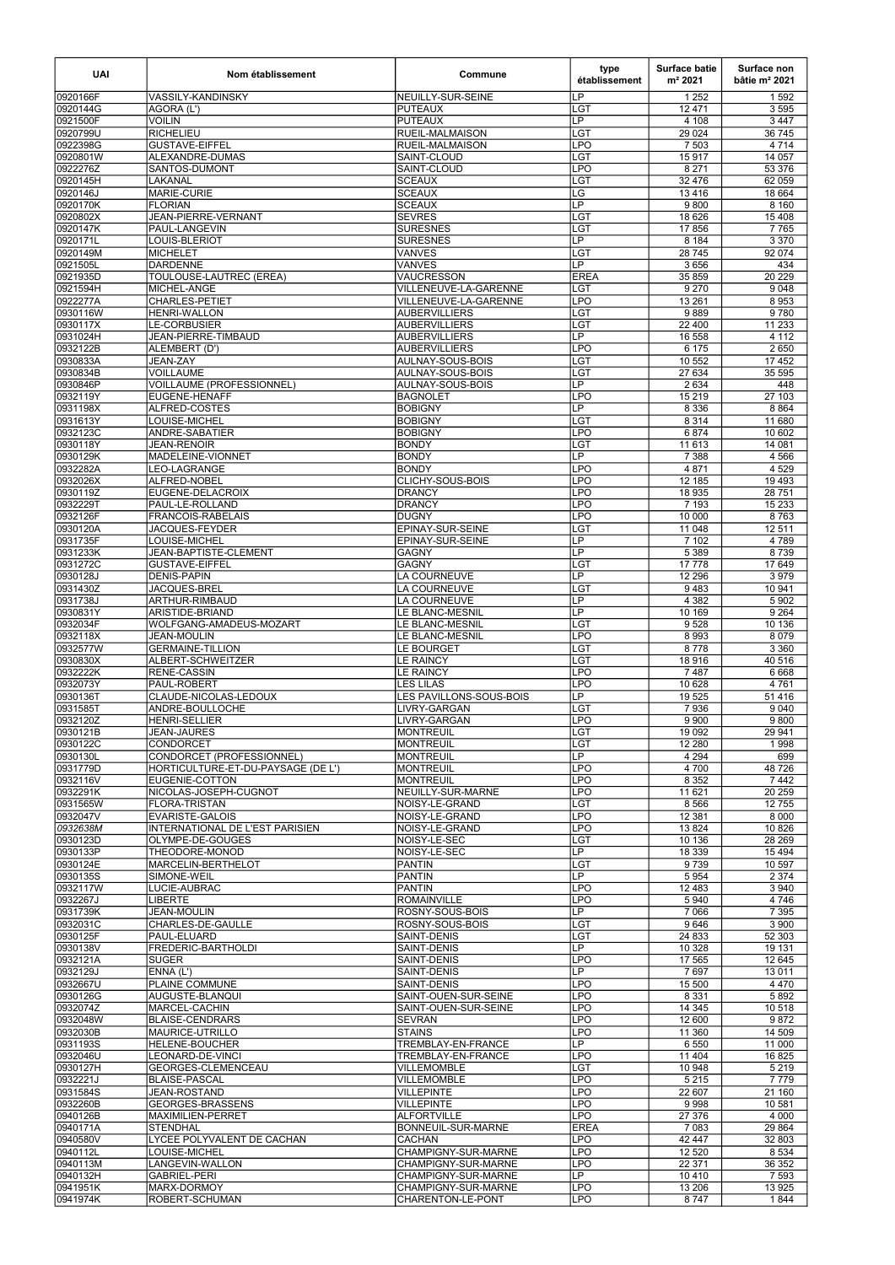| <b>UAI</b>           | Nom établissement                            | Commune                                | type<br>établissement             | <b>Surface batie</b><br>m <sup>2</sup> 2021 | Surface non<br>bâtie $m2 2021$ |
|----------------------|----------------------------------------------|----------------------------------------|-----------------------------------|---------------------------------------------|--------------------------------|
| 0920166F             | <b>VASSILY-KANDINSKY</b>                     | NEUILLY-SUR-SEINE                      | <b>LP</b>                         | 1 2 5 2                                     | 1592                           |
| 0920144G             | AGORA (L')                                   | <b>PUTEAUX</b>                         | LGT                               | 12 4 7 1                                    | 3 5 9 5                        |
| 0921500F             | <b>VOILIN</b>                                | PUTEAUX<br><b>RUEIL-MALMAISON</b>      | $\overline{\mathsf{LP}}$          | 4 108                                       | 3 4 4 7                        |
| 0920799U<br>0922398G | <b>RICHELIEU</b><br><b>GUSTAVE-EIFFEL</b>    | <b>IRUEIL-MALMAISON</b>                | <b>LGT</b><br>LPO                 | 29 0 24<br>7 5 0 3                          | 36 745<br>4 7 1 4              |
| 0920801W             | ALEXANDRE-DUMAS                              | SAINT-CLOUD                            | $\overline{\text{LGT}}$           | 15 917                                      | 14 057                         |
| 0922276Z             | SANTOS-DUMONT                                | SAINT-CLOUD                            | LPO                               | 8 2 7 1                                     | 53 376                         |
| 0920145H             | LAKANAL                                      | SCEAUX                                 | <b>LGT</b>                        | 32 476                                      | 62 059                         |
| 0920146J             | MARIE-CURIE                                  | <b>SCEAUX</b>                          | $\overline{\text{LG}}$            | 13416                                       | 18 664                         |
| 0920170K<br>0920802X | <b>FLORIAN</b><br>JEAN-PIERRE-VERNANT        | <b>SCEAUX</b><br><b>SEVRES</b>         | $\overline{\mathsf{LP}}$<br>LGT   | 9800<br>18 6 26                             | 8 1 6 0<br>15 4 08             |
| 0920147K             | PAUL-LANGEVIN                                | <b>SURESNES</b>                        | <b>LGT</b>                        | 17856                                       | 7765                           |
| 0920171L             | LOUIS-BLERIOT                                | <b>SURESNES</b>                        | LP                                | 8 1 8 4                                     | 3 3 7 0                        |
| 0920149M             | <b>MICHELET</b>                              | VANVES                                 | LGT                               | 28 745                                      | 92 074                         |
| 0921505L             | <b>DARDENNE</b>                              | VANVES                                 | LP                                | 3656                                        | 434                            |
| 0921935D<br>0921594H | TOULOUSE-LAUTREC (EREA)<br>MICHEL-ANGE       | VAUCRESSON<br>VILLENEUVE-LA-GARENNE    | <b>EREA</b><br><b>LGT</b>         | 35 859<br>9270                              | 20 229<br>9 0 48               |
| 0922277A             | <b>CHARLES-PETIET</b>                        | VILLENEUVE-LA-GARENNE                  | <b>LPO</b>                        | 13 26 1                                     | 8953                           |
| 0930116W             | <b>HENRI-WALLON</b>                          | AUBERVILLIERS                          | <b>LGT</b>                        | 9889                                        | 9780                           |
| 0930117X             | <b>LE-CORBUSIER</b>                          | AUBERVILLIERS                          | LGT                               | 22 400                                      | 11 233                         |
| 0931024H             | JEAN-PIERRE-TIMBAUD                          | <b>AUBERVILLIERS</b>                   | $\overline{\mathsf{LP}}$          | 16 558                                      | 4 1 1 2                        |
| 0932122B             | ALEMBERT (D')<br><b>JEAN-ZAY</b>             | <b>AUBERVILLIERS</b>                   | LPO<br>LGT                        | 6 1 7 5                                     | 2650                           |
| 0930833A<br>0930834B | <b>VOILLAUME</b>                             | AULNAY-SOUS-BOIS<br>AULNAY-SOUS-BOIS   | LGT                               | 10 552<br>27 634                            | 17 452<br>35 595               |
| 0930846P             | VOILLAUME (PROFESSIONNEL)                    | AULNAY-SOUS-BOIS                       | $\overline{\mathsf{LP}}$          | 2 6 3 4                                     | 448                            |
| 0932119Y             | <b>EUGENE-HENAFF</b>                         | BAGNOLET                               | <b>LPO</b>                        | 15 219                                      | $\frac{27}{103}$               |
| 0931198X             | ALFRED-COSTES                                | <b>BOBIGNY</b>                         | $\overline{\mathsf{LP}}$          | 8 3 3 6                                     | 8 8 6 4                        |
| 0931613Y             | LOUISE-MICHEL                                | <b>BOBIGNY</b>                         | LGT                               | 8 3 1 4                                     | 11 680                         |
| 0932123C<br>0930118Y | ANDRE-SABATIER<br><b>JEAN-RENOIR</b>         | <b>BOBIGNY</b><br>BONDY                | <b>LPO</b><br>LGT                 | 6874<br>11 613                              | 10 602<br>14 081               |
| 0930129K             | MADELEINE-VIONNET                            | <b>BONDY</b>                           | LP                                | 7 3 8 8                                     | 4 5 6 6                        |
| 0932282A             | LEO-LAGRANGE                                 | IBONDY                                 | <b>LPO</b>                        | 4871                                        | 4 5 2 9                        |
| 0932026X             | ALFRED-NOBEL                                 | <b>CLICHY-SOUS-BOIS</b>                | LPO                               | 12 185                                      | 19 4 93                        |
| 0930119Z             | EUGENE-DELACROIX                             | DRANCY                                 | <b>LPO</b>                        | 18 935                                      | 28 751                         |
| 0932229T<br>0932126F | PAUL-LE-ROLLAND<br><b>FRANCOIS-RABELAIS</b>  | DRANCY<br>DUGNY                        | <b>LPO</b><br>LPO                 | 7 1 9 3<br>10 000                           | 15 2 33<br>8763                |
| 0930120A             | JACQUES-FEYDER                               | <b>EPINAY-SUR-SEINE</b>                | <b>LGT</b>                        | 11 048                                      | 12 511                         |
| 0931735F             | LOUISE-MICHEL                                | EPINAY-SUR-SEINE                       | LP                                | 7 102                                       | 4789                           |
| 0931233K             | JEAN-BAPTISTE-CLEMENT                        | lGAGNY                                 | LP                                | 5 3 8 9                                     | 8739                           |
| 0931272C             | <b>GUSTAVE-EIFFEL</b>                        | GAGNY                                  | LGT                               | 17778                                       | 17 649                         |
| 0930128J             | <b>DENIS-PAPIN</b><br>JACQUES-BREL           | LA COURNEUVE                           | LP<br>LGT                         | 12 29 6<br>9483                             | 3979<br>10 941                 |
| 0931430Z<br>0931738J | <b>ARTHUR-RIMBAUD</b>                        | LA COURNEUVE<br>LA COURNEUVE           | $\overline{LP}$                   | 4 3 8 2                                     | 5 9 0 2                        |
| 0930831Y             | ARISTIDE-BRIAND                              | LE BLANC-MESNIL                        | $\overline{\mathsf{LP}}$          | 10 169                                      | 9 2 6 4                        |
| 0932034F             | WOLFGANG-AMADEUS-MOZART                      | LE BLANC-MESNIL                        | <b>LGT</b>                        | 9528                                        | 10 136                         |
| 0932118X             | <b>JEAN-MOULIN</b>                           | LE BLANC-MESNIL                        | LPO                               | 8 9 9 3                                     | 8 0 7 9                        |
| 0932577W             | <b>GERMAINE-TILLION</b><br>ALBERT-SCHWEITZER | <b>LE BOURGET</b>                      | LGT                               | 8778                                        | 3 3 6 0                        |
| 0930830X<br>0932222K | <b>RENE-CASSIN</b>                           | <b>LE RAINCY</b><br><b>LE RAINCY</b>   | LGT<br>PO                         | 18916<br>7487                               | 40 516<br>6 6 6 8              |
| 0932073Y             | PAUL-ROBERT                                  | LES LILAS                              | LPO                               | 10 628                                      | 4761                           |
| 0930136T             | CLAUDE-NICOLAS-LEDOUX                        | LES PAVILLONS-SOUS-BOIS                | LP                                | 19 5 25                                     | 51 416                         |
| 0931585T             | ANDRE-BOULLOCHE                              | LIVRY-GARGAN                           | LGT                               | 7936                                        | 9 0 4 0                        |
| 0932120Z<br>0930121B | <b>HENRI-SELLIER</b><br><b>JEAN-JAURES</b>   | LIVRY-GARGAN<br><b>MONTREUIL</b>       | <b>LPO</b><br>LGT                 | 9 9 0 0<br>19 092                           | 9800<br>29 941                 |
| 0930122C             | <b>CONDORCET</b>                             | MONTREUIL                              | LGT                               | 12 2 8 0                                    | 1998                           |
| 0930130L             | CONDORCET (PROFESSIONNEL)                    | MONTREUIL                              | $\overline{\mathsf{LP}}$          | 4 2 9 4                                     | 699                            |
| 0931779D             | HORTICULTURE-ET-DU-PAYSAGE (DE L')           | MONTREUIL                              | LPO                               | 4700                                        | 48726                          |
| 0932116V             | EUGENIE-COTTON                               | MONTREUIL                              | LPO                               | 8 3 5 2                                     | 7 4 4 2                        |
| 0932291K<br>0931565W | NICOLAS-JOSEPH-CUGNOT<br>FLORA-TRISTAN       | NEUILLY-SUR-MARNE<br>NOISY-LE-GRAND    | LPO<br>LGT                        | 11 621<br>8 5 6 6                           | 20 259<br>12 755               |
| 0932047V             | <b>EVARISTE-GALOIS</b>                       | NOISY-LE-GRAND                         | LPO                               | 12 3 8 1                                    | 8 0 0 0                        |
| 0932638M             | INTERNATIONAL DE L'EST PARISIEN              | NOISY-LE-GRAND                         | <b>LPO</b>                        | 13824                                       | 10 8 26                        |
| 0930123D             | OLYMPE-DE-GOUGES                             | NOISY-LE-SEC                           | LGT                               | 10 136                                      | 28 269                         |
| 0930133P             | THEODORE-MONOD                               | NOISY-LE-SEC                           | LP                                | 18 339                                      | 15 4 94                        |
| 0930124E<br>0930135S | MARCELIN-BERTHELOT<br>SIMONE-WEIL            | <b>PANTIN</b><br>PANTIN                | LGT<br>LP                         | 9739<br>5 9 5 4                             | 10 597<br>2 3 7 4              |
| 0932117W             | LUCIE-AUBRAC                                 | PANTIN                                 | <b>LPO</b>                        | 12 483                                      | 3 9 4 0                        |
| 0932267J             | <b>LIBERTE</b>                               | ROMAINVILLE                            | <b>LPO</b>                        | 5940                                        | 4 7 4 6                        |
| 0931739K             | <b>JEAN-MOULIN</b>                           | <b>ROSNY-SOUS-BOIS</b>                 | $\overline{\mathsf{L}\mathsf{P}}$ | 7 0 6 6                                     | 7 3 9 5                        |
| 0932031C             | CHARLES-DE-GAULLE                            | ROSNY-SOUS-BOIS                        | LGT                               | 9646                                        | 3 9 0 0                        |
| 0930125F<br>0930138V | PAUL-ELUARD<br>FREDERIC-BARTHOLDI            | SAINT-DENIS <br>SAINT-DENIS            | LGT<br>LP                         | 24 833<br>10 3 28                           | 52 303<br>19 131               |
| 0932121A             | <b>SUGER</b>                                 | SAINT-DENIS                            | LPO                               | 17 565                                      | 12 645                         |
| 0932129J             | ENNA (L')                                    | SAINT-DENIS                            | LP                                | 7697                                        | 13 011                         |
| 0932667U             | PLAINE COMMUNE                               | <b>SAINT-DENIS</b>                     | <b>LPO</b>                        | 15 500                                      | 4 4 7 0                        |
| 0930126G             | AUGUSTE-BLANQUI                              | SAINT-OUEN-SUR-SEINE                   | <b>LPO</b>                        | 8 3 3 1                                     | 5892                           |
| 0932074Z<br>0932048W | MARCEL-CACHIN<br>BLAISE-CENDRARS             | SAINT-OUEN-SUR-SEINE<br><b>ISEVRAN</b> | <b>LPO</b><br><b>LPO</b>          | 14 345<br>12 600                            | 10 518<br>9872                 |
| 0932030B             | MAURICE-UTRILLO                              | <b>STAINS</b>                          | <b>LPO</b>                        | 11 360                                      | 14 509                         |
| 0931193S             | <b>HELENE-BOUCHER</b>                        | <b>TREMBLAY-EN-FRANCE</b>              | LP                                | 6 5 5 0                                     | 11 000                         |
| 0932046U             | LEONARD-DE-VINCI                             | TREMBLAY-EN-FRANCE                     | <b>LPO</b>                        | 11 404                                      | 16 825                         |
| 0930127H             | GEORGES-CLEMENCEAU                           | VILLEMOMBLE                            | LGT                               | 10 948                                      | 5 2 1 9                        |
| 0932221J<br>0931584S | <b>BLAISE-PASCAL</b><br>JEAN-ROSTAND         | VILLEMOMBLE<br>VILLEPINTE              | <b>LPO</b><br><b>LPO</b>          | 5 2 1 5<br>22 607                           | 7779<br>21 160                 |
| 0932260B             | GEORGES-BRASSENS                             | VILLEPINTE                             | <b>LPO</b>                        | 9998                                        | 10 581                         |
| 0940126B             | MAXIMILIEN-PERRET                            | ALFORTVILLE                            | <b>LPO</b>                        | 27 376                                      | 4 0 0 0                        |
| 0940171A             | <b>STENDHAL</b>                              | BONNEUIL-SUR-MARNE                     | <b>EREA</b>                       | 7 0 8 3                                     | 29 8 64                        |
| 0940580V<br>0940112L | LYCEE POLYVALENT DE CACHAN<br>LOUISE-MICHEL  | <b>CACHAN</b><br>CHAMPIGNY-SUR-MARNE   | <b>LPO</b><br><b>LPO</b>          | 42 447<br>12 5 20                           | 32 803<br>8 5 3 4              |
| 0940113M             | LANGEVIN-WALLON                              | CHAMPIGNY-SUR-MARNE                    | LPO                               | 22 371                                      | 36 352                         |
| 0940132H             | <b>GABRIEL-PERI</b>                          | CHAMPIGNY-SUR-MARNE                    | LP                                | 10 4 10                                     | 7 5 9 3                        |
| 0941951K             | MARX-DORMOY                                  | CHAMPIGNY-SUR-MARNE                    | <b>LPO</b>                        | 13 20 6                                     | 13 9 25                        |
| 0941974K             | ROBERT-SCHUMAN                               | CHARENTON-LE-PONT                      | <b>LPO</b>                        | 8747                                        | 1844                           |